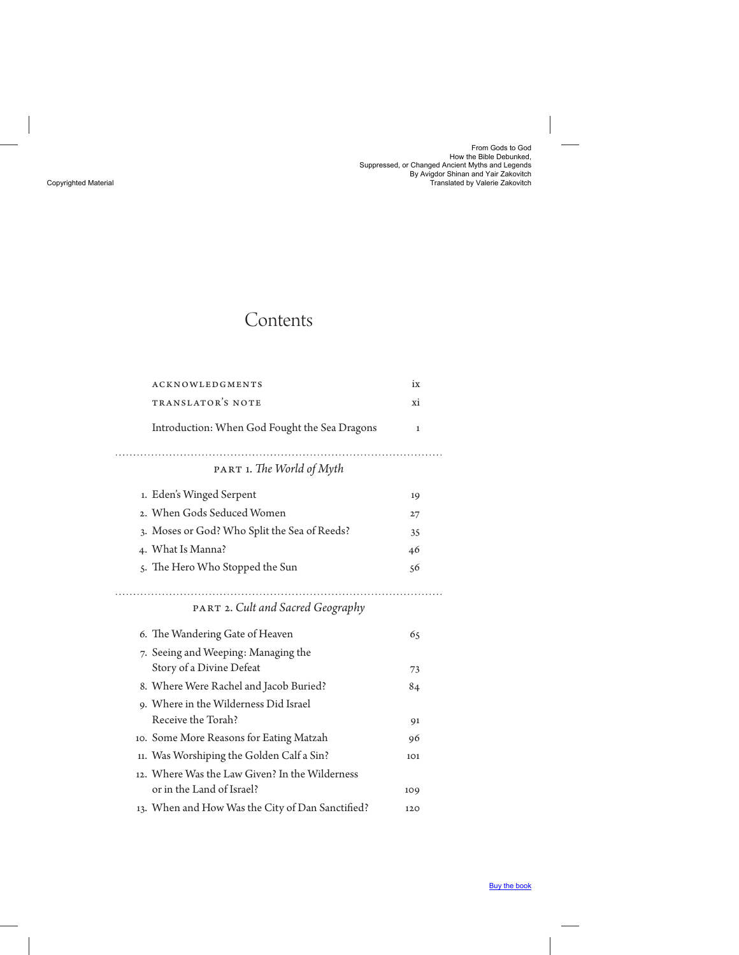# Contents

| <b>ACKNOWLEDGMENTS</b>                           | ix           |
|--------------------------------------------------|--------------|
| TRANSLATOR'S NOTE                                | xi           |
| Introduction: When God Fought the Sea Dragons    | $\mathbf{1}$ |
| PART 1. The World of Myth                        |              |
| 1. Eden's Winged Serpent                         | 19           |
| 2. When Gods Seduced Women                       | 27           |
| 3. Moses or God? Who Split the Sea of Reeds?     | 35           |
| 4. What Is Manna?                                | 46           |
| 5. The Hero Who Stopped the Sun                  | 56           |
| <b>PART 2. Cult and Sacred Geography</b>         |              |
| 6. The Wandering Gate of Heaven                  | 65           |
| 7. Seeing and Weeping: Managing the              |              |
| Story of a Divine Defeat                         | 73           |
| 8. Where Were Rachel and Jacob Buried?           | 84           |
| 9. Where in the Wilderness Did Israel            |              |
| Receive the Torah?                               | 91           |
| 10. Some More Reasons for Eating Matzah          | 96           |
| 11. Was Worshiping the Golden Calf a Sin?        | 101          |
| 12. Where Was the Law Given? In the Wilderness   |              |
| or in the Land of Israel?                        | 109          |
| 13. When and How Was the City of Dan Sanctified? | 120          |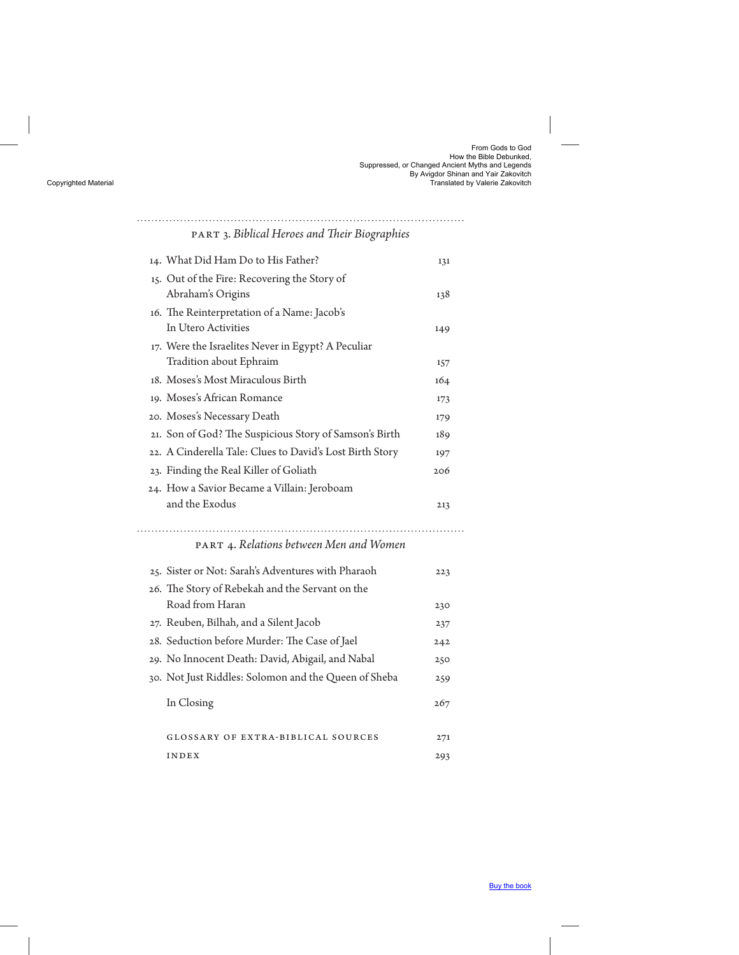| PART 3. Biblical Heroes and Their Biographies            |     |
|----------------------------------------------------------|-----|
| 14. What Did Ham Do to His Father?                       | 131 |
| 15. Out of the Fire: Recovering the Story of             |     |
| Abraham's Origins                                        | 138 |
| 16. The Reinterpretation of a Name: Jacob's              |     |
| In Utero Activities                                      | 149 |
| 17. Were the Israelites Never in Egypt? A Peculiar       |     |
| Tradition about Ephraim                                  | 157 |
| 18. Moses's Most Miraculous Birth                        | 164 |
| 19. Moses's African Romance                              | 173 |
| 20. Moses's Necessary Death                              | 179 |
| 21. Son of God? The Suspicious Story of Samson's Birth   | 189 |
| 22. A Cinderella Tale: Clues to David's Lost Birth Story | 197 |
| 23. Finding the Real Killer of Goliath                   | 206 |
| 24. How a Savior Became a Villain: Jeroboam              |     |
| and the Exodus                                           | 213 |
| PART 4. Relations between Men and Women                  |     |
|                                                          |     |
| 25. Sister or Not: Sarah's Adventures with Pharaoh       | 223 |
| 26. The Story of Rebekah and the Servant on the          |     |
| Road from Haran                                          | 230 |
| 27. Reuben, Bilhah, and a Silent Jacob                   | 237 |
| 28. Seduction before Murder: The Case of Jael            | 242 |
| 29. No Innocent Death: David, Abigail, and Nabal         | 250 |
| 30. Not Just Riddles: Solomon and the Queen of Sheba     | 259 |
| In Closing                                               | 267 |
| GLOSSARY OF EXTRA-BIBLICAL SOURCES                       | 271 |
| <b>INDEX</b>                                             | 293 |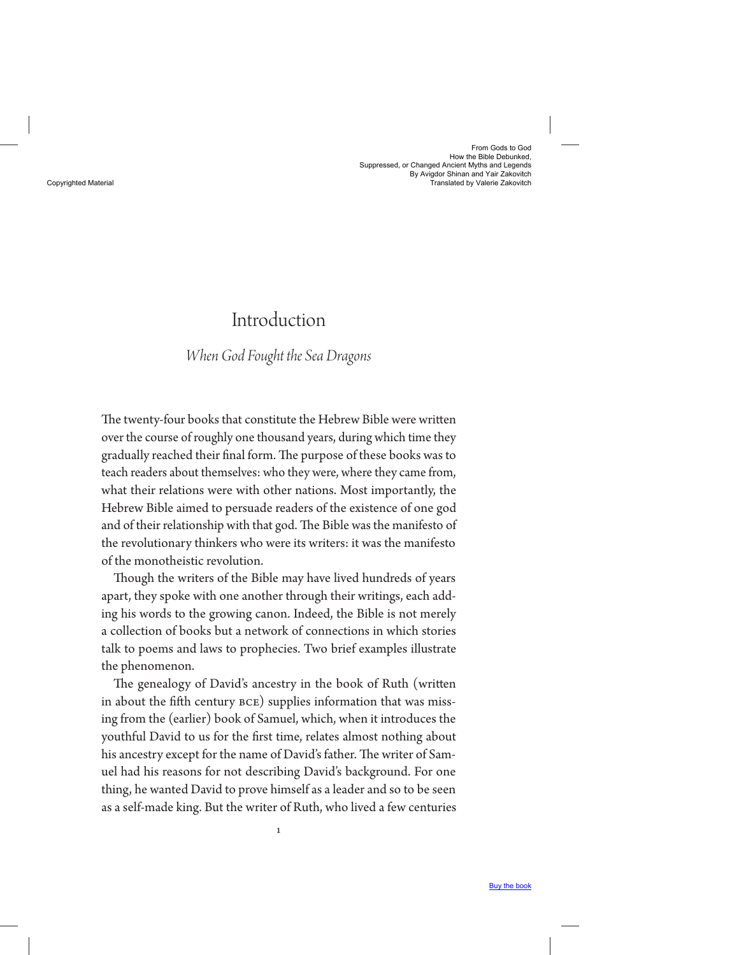# *When God Fought the Sea Dragons*

The twenty-four books that constitute the Hebrew Bible were written over the course of roughly one thousand years, during which time they gradually reached their final form. The purpose of these books was to teach readers about themselves: who they were, where they came from, what their relations were with other nations. Most importantly, the Hebrew Bible aimed to persuade readers of the existence of one god and of their relationship with that god. The Bible was the manifesto of the revolutionary thinkers who were its writers: it was the manifesto of the monotheistic revolution.

Though the writers of the Bible may have lived hundreds of years apart, they spoke with one another through their writings, each adding his words to the growing canon. Indeed, the Bible is not merely a collection of books but a network of connections in which stories talk to poems and laws to prophecies. Two brief examples illustrate the phenomenon.

The genealogy of David's ancestry in the book of Ruth (written in about the fifth century BCE) supplies information that was missing from the (earlier) book of Samuel, which, when it introduces the youthful David to us for the first time, relates almost nothing about his ancestry except for the name of David's father. The writer of Samuel had his reasons for not describing David's background. For one thing, he wanted David to prove himself as a leader and so to be seen as a self-made king. But the writer of Ruth, who lived a few centuries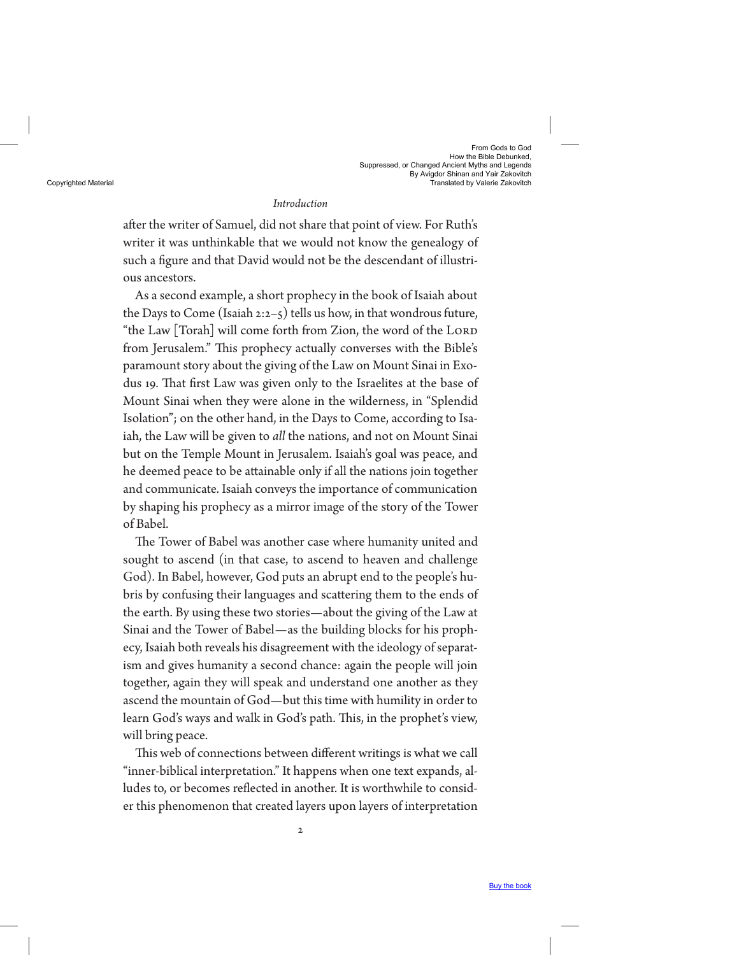after the writer of Samuel, did not share that point of view. For Ruth's writer it was unthinkable that we would not know the genealogy of such a figure and that David would not be the descendant of illustrious ancestors.

 As a second example, a short prophecy in the book of Isaiah about the Days to Come (Isaiah 2:2–5) tells us how, in that wondrous future, "the Law [Torah] will come forth from Zion, the word of the LORD from Jerusalem." This prophecy actually converses with the Bible's paramount story about the giving of the Law on Mount Sinai in Exodus 19. That first Law was given only to the Israelites at the base of Mount Sinai when they were alone in the wilderness, in "Splendid Isolation"; on the other hand, in the Days to Come, according to Isaiah, the Law will be given to *all* the nations, and not on Mount Sinai but on the Temple Mount in Jerusalem. Isaiah's goal was peace, and he deemed peace to be attainable only if all the nations join together and communicate. Isaiah conveys the importance of communication by shaping his prophecy as a mirror image of the story of the Tower of Babel.

The Tower of Babel was another case where humanity united and sought to ascend (in that case, to ascend to heaven and challenge God). In Babel, however, God puts an abrupt end to the people's hubris by confusing their languages and scattering them to the ends of the earth. By using these two stories — about the giving of the Law at Sinai and the Tower of Babel-as the building blocks for his prophecy, Isaiah both reveals his disagreement with the ideology of separatism and gives humanity a second chance: again the people will join together, again they will speak and understand one another as they ascend the mountain of God — but this time with humility in order to learn God's ways and walk in God's path. This, in the prophet's view, will bring peace.

This web of connections between different writings is what we call "inner-biblical interpretation." It happens when one text expands, alludes to, or becomes reflected in another. It is worthwhile to consider this phenomenon that created layers upon layers of interpretation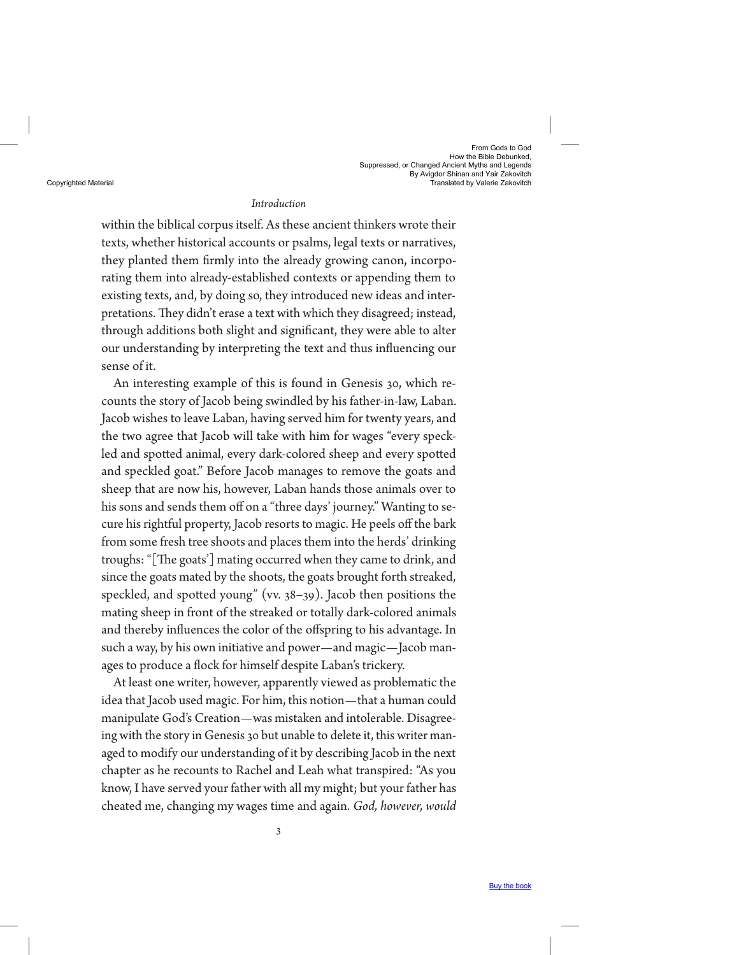within the biblical corpus itself. As these ancient thinkers wrote their texts, whether historical accounts or psalms, legal texts or narratives, they planted them firmly into the already growing canon, incorporating them into already-established contexts or appending them to existing texts, and, by doing so, they introduced new ideas and interpretations. They didn't erase a text with which they disagreed; instead, through additions both slight and significant, they were able to alter our understanding by interpreting the text and thus influencing our sense of it.

 An interesting example of this is found in Genesis 30, which recounts the story of Jacob being swindled by his father-in-law, Laban. Jacob wishes to leave Laban, having served him for twenty years, and the two agree that Jacob will take with him for wages "every speckled and spotted animal, every dark-colored sheep and every spotted and speckled goat." Before Jacob manages to remove the goats and sheep that are now his, however, Laban hands those animals over to his sons and sends them off on a "three days' journey." Wanting to secure his rightful property, Jacob resorts to magic. He peels off the bark from some fresh tree shoots and places them into the herds' drinking troughs: "[The goats'] mating occurred when they came to drink, and since the goats mated by the shoots, the goats brought forth streaked, speckled, and spotted young" (vv.  $38-39$ ). Jacob then positions the mating sheep in front of the streaked or totally dark-colored animals and thereby influences the color of the offspring to his advantage. In such a way, by his own initiative and power — and magic — Jacob manages to produce a flock for himself despite Laban's trickery.

 At least one writer, however, apparently viewed as problematic the idea that Jacob used magic. For him, this notion — that a human could manipulate God's Creation — was mistaken and intolerable. Disagreeing with the story in Genesis 30 but unable to delete it, this writer managed to modify our understanding of it by describing Jacob in the next chapter as he recounts to Rachel and Leah what transpired: "As you know, I have served your father with all my might; but your father has cheated me, changing my wages time and again. *God, however, would*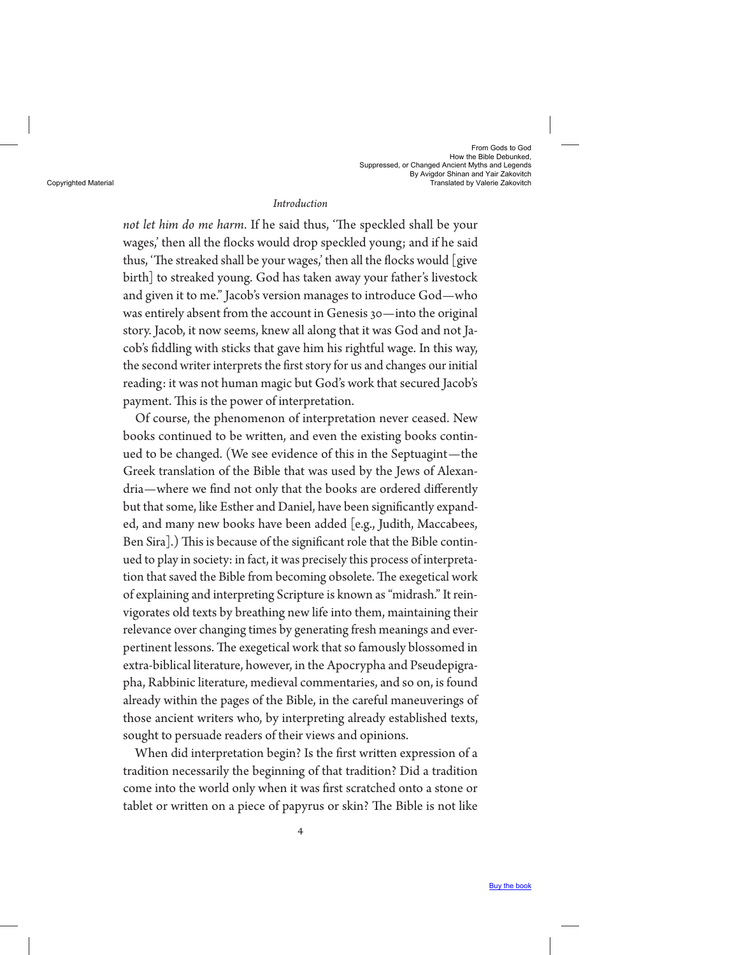*not let him do me harm*. If he said thus, 'The speckled shall be your wages,' then all the flocks would drop speckled young; and if he said thus, 'The streaked shall be your wages,' then all the flocks would [give birth] to streaked young. God has taken away your father's livestock and given it to me." Jacob's version manages to introduce God — who was entirely absent from the account in Genesis 30 — into the original story. Jacob, it now seems, knew all along that it was God and not Jacob's fiddling with sticks that gave him his rightful wage. In this way, the second writer interprets the first story for us and changes our initial reading: it was not human magic but God's work that secured Jacob's payment. This is the power of interpretation.

 Of course, the phenomenon of interpretation never ceased. New books continued to be written, and even the existing books continued to be changed. (We see evidence of this in the Septuagint — the Greek translation of the Bible that was used by the Jews of Alexandria-where we find not only that the books are ordered differently but that some, like Esther and Daniel, have been significantly expanded, and many new books have been added [e.g., Judith, Maccabees, Ben Sira].) This is because of the significant role that the Bible continued to play in society: in fact, it was precisely this process of interpretation that saved the Bible from becoming obsolete. The exegetical work of explaining and interpreting Scripture is known as "midrash." It reinvigorates old texts by breathing new life into them, maintaining their relevance over changing times by generating fresh meanings and everpertinent lessons. The exegetical work that so famously blossomed in extra-biblical literature, however, in the Apocrypha and Pseudepigrapha, Rabbinic literature, medieval commentaries, and so on, is found already within the pages of the Bible, in the careful maneuverings of those ancient writers who, by interpreting already established texts, sought to persuade readers of their views and opinions.

When did interpretation begin? Is the first written expression of a tradition necessarily the beginning of that tradition? Did a tradition come into the world only when it was first scratched onto a stone or tablet or written on a piece of papyrus or skin? The Bible is not like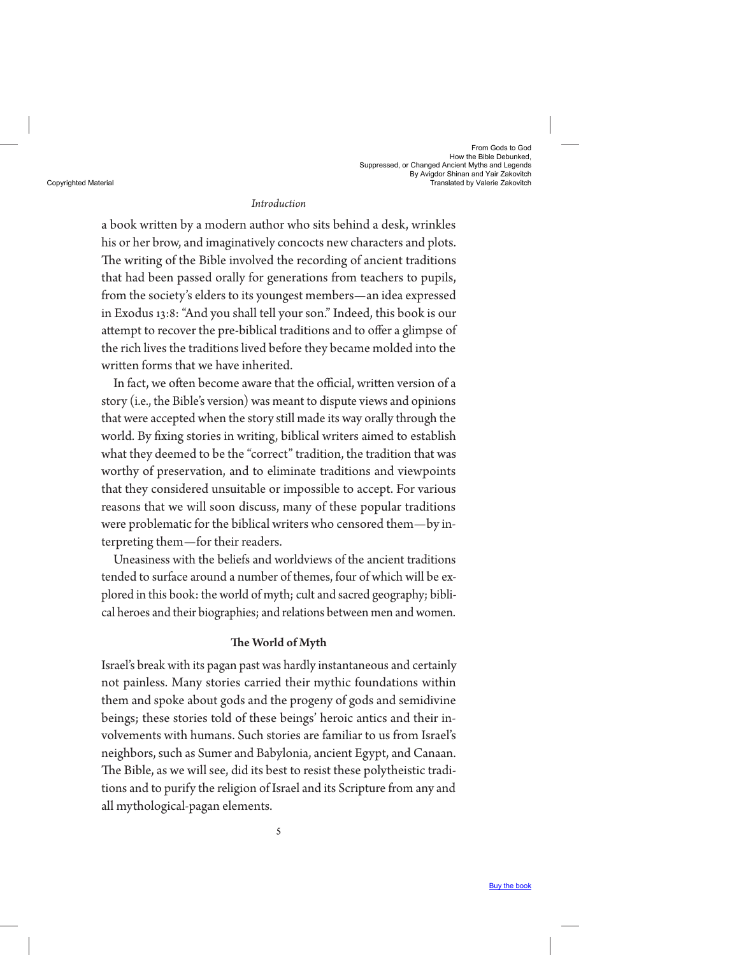a book written by a modern author who sits behind a desk, wrinkles his or her brow, and imaginatively concocts new characters and plots. The writing of the Bible involved the recording of ancient traditions that had been passed orally for generations from teachers to pupils, from the society's elders to its youngest members — an idea expressed in Exodus 13:8: "And you shall tell your son." Indeed, this book is our attempt to recover the pre-biblical traditions and to offer a glimpse of the rich lives the traditions lived before they became molded into the written forms that we have inherited.

In fact, we often become aware that the official, written version of a story (i.e., the Bible's version) was meant to dispute views and opinions that were accepted when the story still made its way orally through the world. By fixing stories in writing, biblical writers aimed to establish what they deemed to be the "correct" tradition, the tradition that was worthy of preservation, and to eliminate traditions and viewpoints that they considered unsuitable or impossible to accept. For various reasons that we will soon discuss, many of these popular traditions were problematic for the biblical writers who censored them — by interpreting them — for their readers.

Uneasiness with the beliefs and worldviews of the ancient traditions tended to surface around a number of themes, four of which will be explored in this book: the world of myth; cult and sacred geography; biblical heroes and their biographies; and relations between men and women.

# The World of Myth

Israel's break with its pagan past was hardly instantaneous and certainly not painless. Many stories carried their mythic foundations within them and spoke about gods and the progeny of gods and semidivine beings; these stories told of these beings' heroic antics and their involvements with humans. Such stories are familiar to us from Israel's neighbors, such as Sumer and Babylonia, ancient Egypt, and Canaan. The Bible, as we will see, did its best to resist these polytheistic traditions and to purify the religion of Israel and its Scripture from any and all mythological-pagan elements.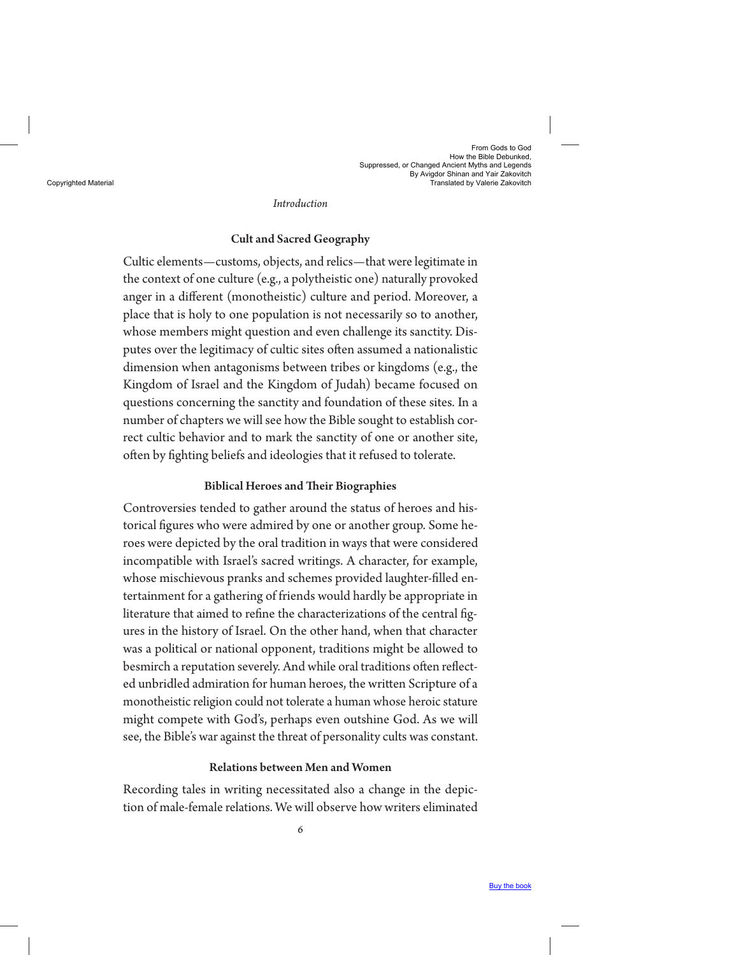# Cult and Sacred Geography

Cultic elements — customs, objects, and relics — that were legitimate in the context of one culture (e.g., a polytheistic one) naturally provoked anger in a different (monotheistic) culture and period. Moreover, a place that is holy to one population is not necessarily so to another, whose members might question and even challenge its sanctity. Disputes over the legitimacy of cultic sites often assumed a nationalistic dimension when antagonisms between tribes or kingdoms (e.g., the Kingdom of Israel and the Kingdom of Judah) became focused on questions concerning the sanctity and foundation of these sites. In a number of chapters we will see how the Bible sought to establish correct cultic behavior and to mark the sanctity of one or another site, often by fighting beliefs and ideologies that it refused to tolerate.

# Biblical Heroes and Their Biographies

Controversies tended to gather around the status of heroes and historical figures who were admired by one or another group. Some heroes were depicted by the oral tradition in ways that were considered incompatible with Israel's sacred writings. A character, for example, whose mischievous pranks and schemes provided laughter-filled entertainment for a gathering of friends would hardly be appropriate in literature that aimed to refine the characterizations of the central figures in the history of Israel. On the other hand, when that character was a political or national opponent, traditions might be allowed to besmirch a reputation severely. And while oral traditions often reflected unbridled admiration for human heroes, the written Scripture of a monotheistic religion could not tolerate a human whose heroic stature might compete with God's, perhaps even outshine God. As we will see, the Bible's war against the threat of personality cults was constant.

# Relations between Men and Women

Recording tales in writing necessitated also a change in the depiction of male-female relations. We will observe how writers eliminated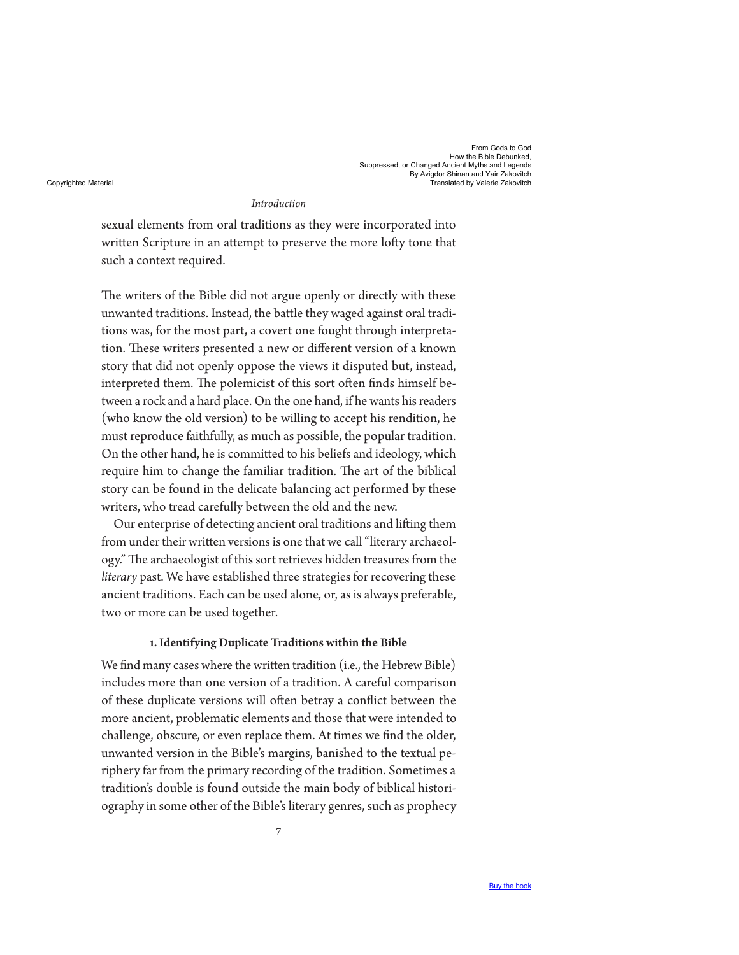sexual elements from oral traditions as they were incorporated into written Scripture in an attempt to preserve the more lofty tone that such a context required.

The writers of the Bible did not argue openly or directly with these unwanted traditions. Instead, the battle they waged against oral traditions was, for the most part, a covert one fought through interpretation. These writers presented a new or different version of a known story that did not openly oppose the views it disputed but, instead, interpreted them. The polemicist of this sort often finds himself between a rock and a hard place. On the one hand, if he wants his readers (who know the old version) to be willing to accept his rendition, he must reproduce faithfully, as much as possible, the popular tradition. On the other hand, he is committed to his beliefs and ideology, which require him to change the familiar tradition. The art of the biblical story can be found in the delicate balancing act performed by these writers, who tread carefully between the old and the new.

Our enterprise of detecting ancient oral traditions and lifting them from under their written versions is one that we call "literary archaeology." The archaeologist of this sort retrieves hidden treasures from the *literary* past. We have established three strategies for recovering these ancient traditions. Each can be used alone, or, as is always preferable, two or more can be used together.

# 1. Identifying Duplicate Traditions within the Bible

We find many cases where the written tradition (i.e., the Hebrew Bible) includes more than one version of a tradition. A careful comparison of these duplicate versions will often betray a conflict between the more ancient, problematic elements and those that were intended to challenge, obscure, or even replace them. At times we find the older, unwanted version in the Bible's margins, banished to the textual periphery far from the primary recording of the tradition. Sometimes a tradition's double is found outside the main body of biblical historiography in some other of the Bible's literary genres, such as prophecy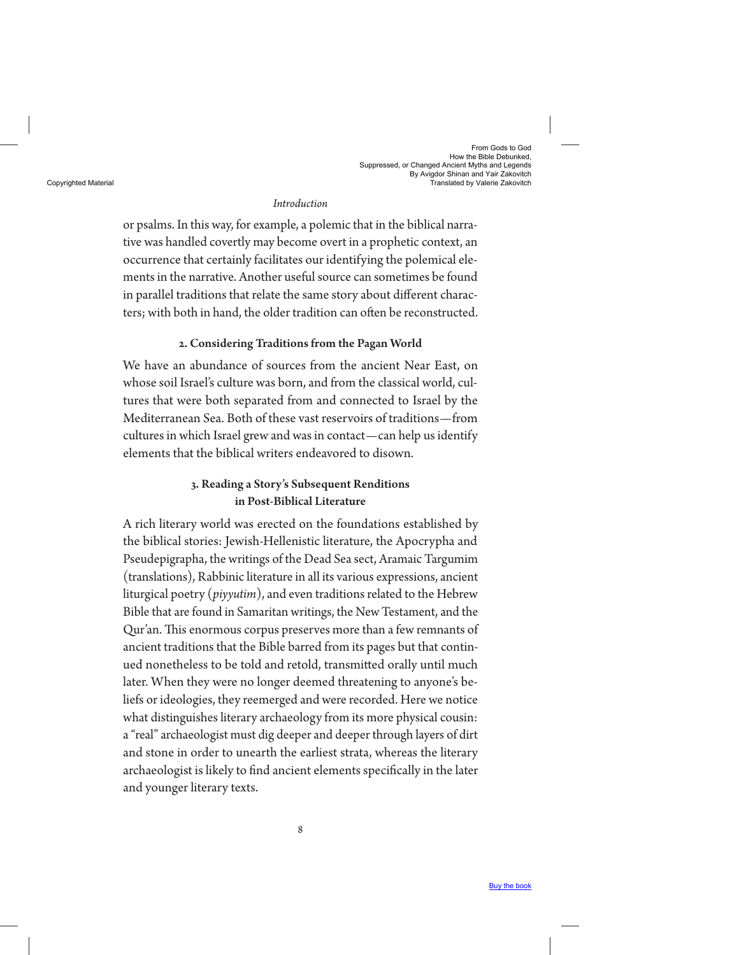or psalms. In this way, for example, a polemic that in the biblical narrative was handled covertly may become overt in a prophetic context, an occurrence that certainly facilitates our identifying the polemical elements in the narrative. Another useful source can sometimes be found in parallel traditions that relate the same story about different characters; with both in hand, the older tradition can often be reconstructed.

# 2. Considering Traditions from the Pagan World

We have an abundance of sources from the ancient Near East, on whose soil Israel's culture was born, and from the classical world, cultures that were both separated from and connected to Israel by the Mediterranean Sea. Both of these vast reservoirs of traditions — from cultures in which Israel grew and was in contact — can help us identify elements that the biblical writers endeavored to disown.

# 3. Reading a Story's Subsequent Renditions in Post-Biblical Literature

A rich literary world was erected on the foundations established by the biblical stories: Jewish-Hellenistic literature, the Apocrypha and Pseudepigrapha, the writings of the Dead Sea sect, Aramaic Targumim (translations), Rabbinic literature in all its various expressions, ancient liturgical poetry (*piyyutim*), and even traditions related to the Hebrew Bible that are found in Samaritan writings, the New Testament, and the Qur'an. This enormous corpus preserves more than a few remnants of ancient traditions that the Bible barred from its pages but that continued nonetheless to be told and retold, transmitted orally until much later. When they were no longer deemed threatening to anyone's beliefs or ideologies, they reemerged and were recorded. Here we notice what distinguishes literary archaeology from its more physical cousin: a "real" archaeologist must dig deeper and deeper through layers of dirt and stone in order to unearth the earliest strata, whereas the literary archaeologist is likely to find ancient elements specifically in the later and younger literary texts.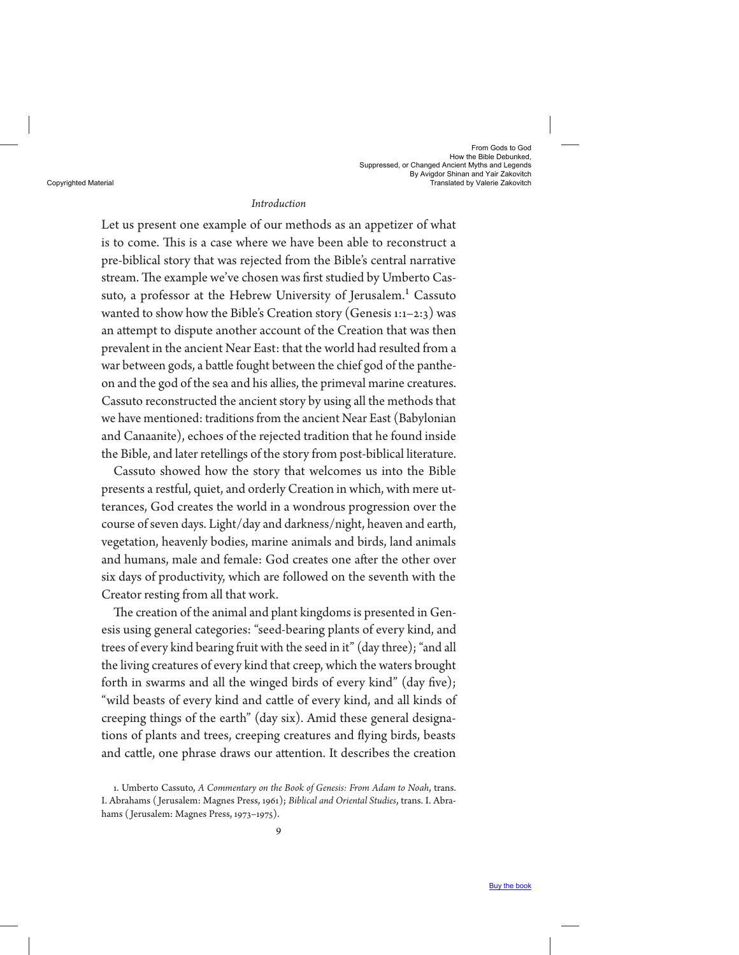Let us present one example of our methods as an appetizer of what is to come. This is a case where we have been able to reconstruct a pre-biblical story that was rejected from the Bible's central narrative stream. The example we've chosen was first studied by Umberto Cassuto, a professor at the Hebrew University of Jerusalem.<sup>1</sup> Cassuto wanted to show how the Bible's Creation story (Genesis 1:1–2:3) was an attempt to dispute another account of the Creation that was then prevalent in the ancient Near East: that the world had resulted from a war between gods, a battle fought between the chief god of the pantheon and the god of the sea and his allies, the primeval marine creatures. Cassuto reconstructed the ancient story by using all the methods that we have mentioned: traditions from the ancient Near East (Babylonian and Canaanite), echoes of the rejected tradition that he found inside the Bible, and later retellings of the story from post-biblical literature.

 Cassuto showed how the story that welcomes us into the Bible presents a restful, quiet, and orderly Creation in which, with mere utterances, God creates the world in a wondrous progression over the course of seven days. Light/day and darkness/night, heaven and earth, vegetation, heavenly bodies, marine animals and birds, land animals and humans, male and female: God creates one after the other over six days of productivity, which are followed on the seventh with the Creator resting from all that work.

The creation of the animal and plant kingdoms is presented in Genesis using general categories: "seed-bearing plants of every kind, and trees of every kind bearing fruit with the seed in it" (day three); "and all the living creatures of every kind that creep, which the waters brought forth in swarms and all the winged birds of every kind" (day five); "wild beasts of every kind and cattle of every kind, and all kinds of creeping things of the earth" (day six). Amid these general designations of plants and trees, creeping creatures and flying birds, beasts and cattle, one phrase draws our attention. It describes the creation

<sup>1.</sup> Umberto Cassuto, *A Commentary on the Book of Genesis: From Adam to Noah*, trans. I. Abrahams ( Jerusalem: Magnes Press, 1961); *Biblical and Oriental Studies*, trans. I. Abrahams ( Jerusalem: Magnes Press, 1973–1975).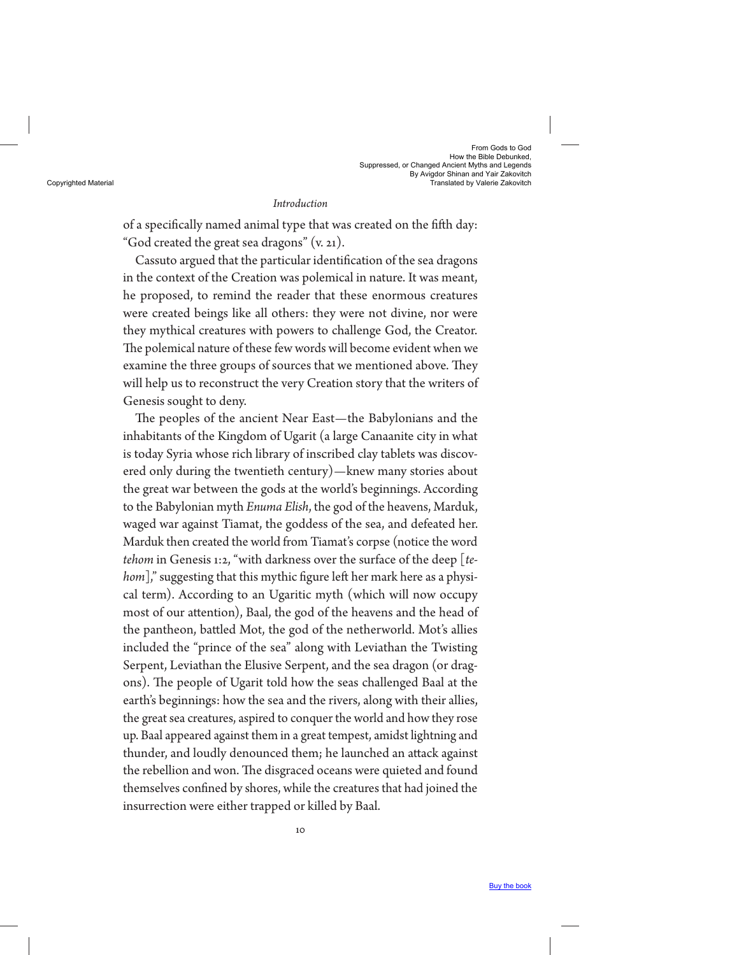of a specifically named animal type that was created on the fifth day: "God created the great sea dragons" (v. 21).

Cassuto argued that the particular identification of the sea dragons in the context of the Creation was polemical in nature. It was meant, he proposed, to remind the reader that these enormous creatures were created beings like all others: they were not divine, nor were they mythical creatures with powers to challenge God, the Creator. The polemical nature of these few words will become evident when we examine the three groups of sources that we mentioned above. They will help us to reconstruct the very Creation story that the writers of Genesis sought to deny.

The peoples of the ancient Near East—the Babylonians and the inhabitants of the Kingdom of Ugarit (a large Canaanite city in what is today Syria whose rich library of inscribed clay tablets was discovered only during the twentieth century) — knew many stories about the great war between the gods at the world's beginnings. According to the Babylonian myth *Enuma Elish*, the god of the heavens, Marduk, waged war against Tiamat, the goddess of the sea, and defeated her. Marduk then created the world from Tiamat's corpse (notice the word *tehom* in Genesis 1:2, "with darkness over the surface of the deep [*tehom*]," suggesting that this mythic figure left her mark here as a physical term). According to an Ugaritic myth (which will now occupy most of our attention), Baal, the god of the heavens and the head of the pantheon, battled Mot, the god of the netherworld. Mot's allies included the "prince of the sea" along with Leviathan the Twisting Serpent, Leviathan the Elusive Serpent, and the sea dragon (or dragons). The people of Ugarit told how the seas challenged Baal at the earth's beginnings: how the sea and the rivers, along with their allies, the great sea creatures, aspired to conquer the world and how they rose up. Baal appeared against them in a great tempest, amidst lightning and thunder, and loudly denounced them; he launched an attack against the rebellion and won. The disgraced oceans were quieted and found themselves confined by shores, while the creatures that had joined the insurrection were either trapped or killed by Baal.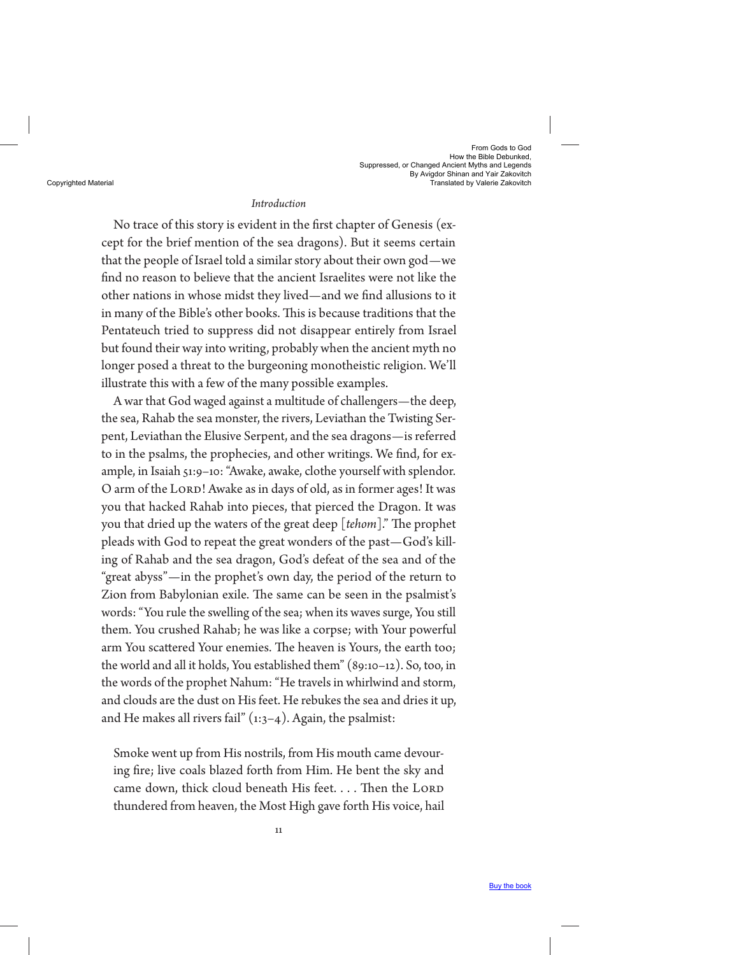No trace of this story is evident in the first chapter of Genesis (except for the brief mention of the sea dragons). But it seems certain that the people of Israel told a similar story about their own god — we find no reason to believe that the ancient Israelites were not like the other nations in whose midst they lived—and we find allusions to it in many of the Bible's other books. This is because traditions that the Pentateuch tried to suppress did not disappear entirely from Israel but found their way into writing, probably when the ancient myth no longer posed a threat to the burgeoning monotheistic religion. We'll illustrate this with a few of the many possible examples.

 A war that God waged against a multitude of challengers — the deep, the sea, Rahab the sea monster, the rivers, Leviathan the Twisting Serpent, Leviathan the Elusive Serpent, and the sea dragons — is referred to in the psalms, the prophecies, and other writings. We find, for example, in Isaiah 51:9–10: "Awake, awake, clothe yourself with splendor. O arm of the LORD! Awake as in days of old, as in former ages! It was you that hacked Rahab into pieces, that pierced the Dragon. It was you that dried up the waters of the great deep [tehom]." The prophet pleads with God to repeat the great wonders of the past — God's killing of Rahab and the sea dragon, God's defeat of the sea and of the "great abyss" — in the prophet's own day, the period of the return to Zion from Babylonian exile. The same can be seen in the psalmist's words: "You rule the swelling of the sea; when its waves surge, You still them. You crushed Rahab; he was like a corpse; with Your powerful arm You scattered Your enemies. The heaven is Yours, the earth too; the world and all it holds, You established them" (89:10–12). So, too, in the words of the prophet Nahum: "He travels in whirlwind and storm, and clouds are the dust on His feet. He rebukes the sea and dries it up, and He makes all rivers fail"  $(i:3-4)$ . Again, the psalmist:

Smoke went up from His nostrils, from His mouth came devouring fire; live coals blazed forth from Him. He bent the sky and came down, thick cloud beneath His feet. . . . Then the LORD thundered from heaven, the Most High gave forth His voice, hail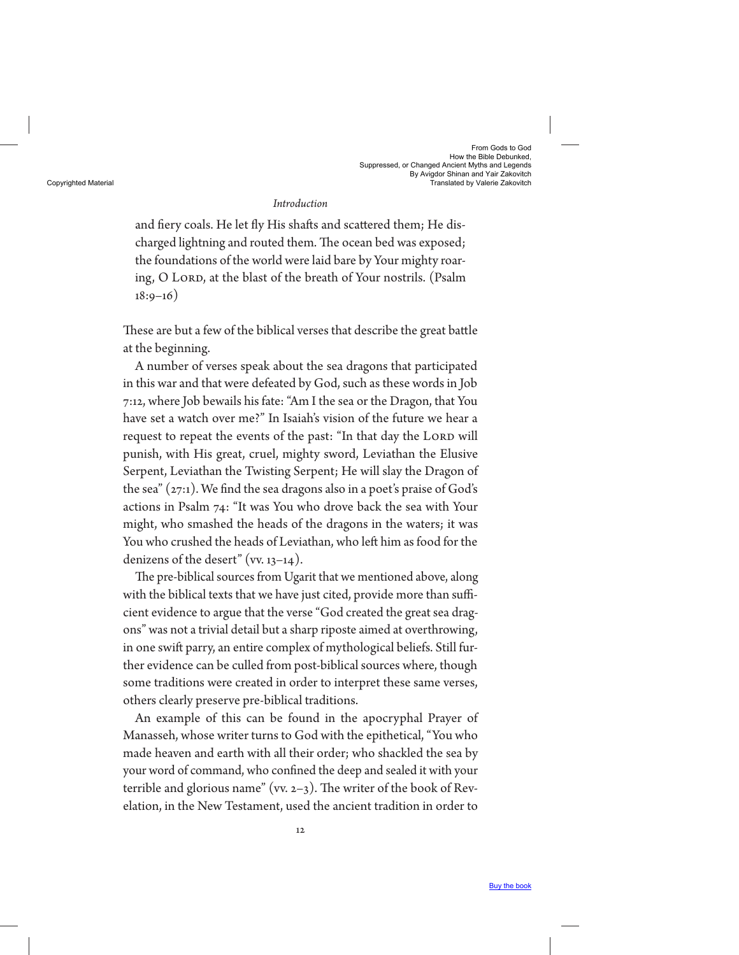and fiery coals. He let fly His shafts and scattered them; He discharged lightning and routed them. The ocean bed was exposed; the foundations of the world were laid bare by Your mighty roaring, O LORD, at the blast of the breath of Your nostrils. (Psalm 18:9–16)

These are but a few of the biblical verses that describe the great battle at the beginning.

 A number of verses speak about the sea dragons that participated in this war and that were defeated by God, such as these words in Job 7:12, where Job bewails his fate: "Am I the sea or the Dragon, that You have set a watch over me?" In Isaiah's vision of the future we hear a request to repeat the events of the past: "In that day the LORD will punish, with His great, cruel, mighty sword, Leviathan the Elusive Serpent, Leviathan the Twisting Serpent; He will slay the Dragon of the sea"  $(27:1)$ . We find the sea dragons also in a poet's praise of God's actions in Psalm 74: "It was You who drove back the sea with Your might, who smashed the heads of the dragons in the waters; it was You who crushed the heads of Leviathan, who left him as food for the denizens of the desert" (vv. 13–14).

The pre-biblical sources from Ugarit that we mentioned above, along with the biblical texts that we have just cited, provide more than sufficient evidence to argue that the verse "God created the great sea dragons" was not a trivial detail but a sharp riposte aimed at overthrowing, in one swift parry, an entire complex of mythological beliefs. Still further evidence can be culled from post-biblical sources where, though some traditions were created in order to interpret these same verses, others clearly preserve pre-biblical traditions.

 An example of this can be found in the apocryphal Prayer of Manasseh, whose writer turns to God with the epithetical, "You who made heaven and earth with all their order; who shackled the sea by your word of command, who confined the deep and sealed it with your terrible and glorious name" (vv.  $2-3$ ). The writer of the book of Revelation, in the New Testament, used the ancient tradition in order to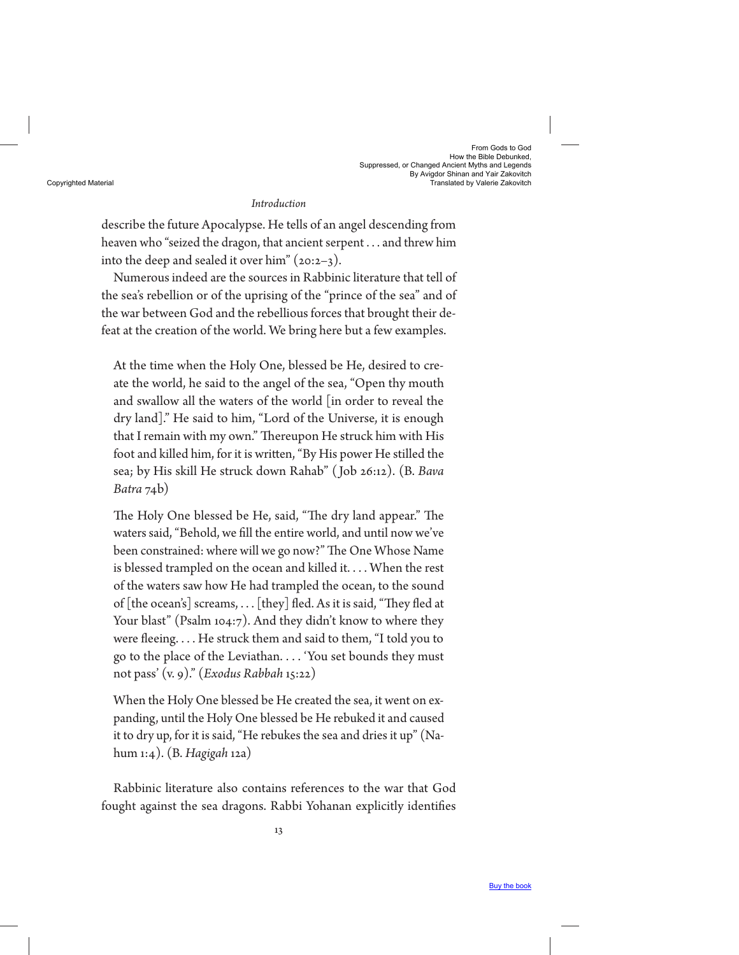describe the future Apocalypse. He tells of an angel descending from heaven who "seized the dragon, that ancient serpent . . . and threw him into the deep and sealed it over him"  $(20:2-3)$ .

 Numerous indeed are the sources in Rabbinic literature that tell of the sea's rebellion or of the uprising of the "prince of the sea" and of the war between God and the rebellious forces that brought their defeat at the creation of the world. We bring here but a few examples.

At the time when the Holy One, blessed be He, desired to create the world, he said to the angel of the sea, "Open thy mouth and swallow all the waters of the world [in order to reveal the dry land]." He said to him, "Lord of the Universe, it is enough that I remain with my own." Thereupon He struck him with His foot and killed him, for it is written, "By His power He stilled the sea; by His skill He struck down Rahab" ( Job 26:12). (B. *Bava Batra* 74b)

The Holy One blessed be He, said, "The dry land appear." The waters said, "Behold, we fill the entire world, and until now we've been constrained: where will we go now?" The One Whose Name is blessed trampled on the ocean and killed it. . . . When the rest of the waters saw how He had trampled the ocean, to the sound of  $[$ the ocean's $]$  screams,  $\ldots$   $[$ they $]$  fled. As it is said, "They fled at Your blast" (Psalm 104:7). And they didn't know to where they were fleeing.... He struck them and said to them, "I told you to go to the place of the Leviathan. . . . 'You set bounds they must not pass' (v. 9)." (*Exodus Rabbah* 15:22)

When the Holy One blessed be He created the sea, it went on expanding, until the Holy One blessed be He rebuked it and caused it to dry up, for it is said, "He rebukes the sea and dries it up" (Nahum 1:4). (B. *Hagigah* 12a)

 Rabbinic literature also contains references to the war that God fought against the sea dragons. Rabbi Yohanan explicitly identifies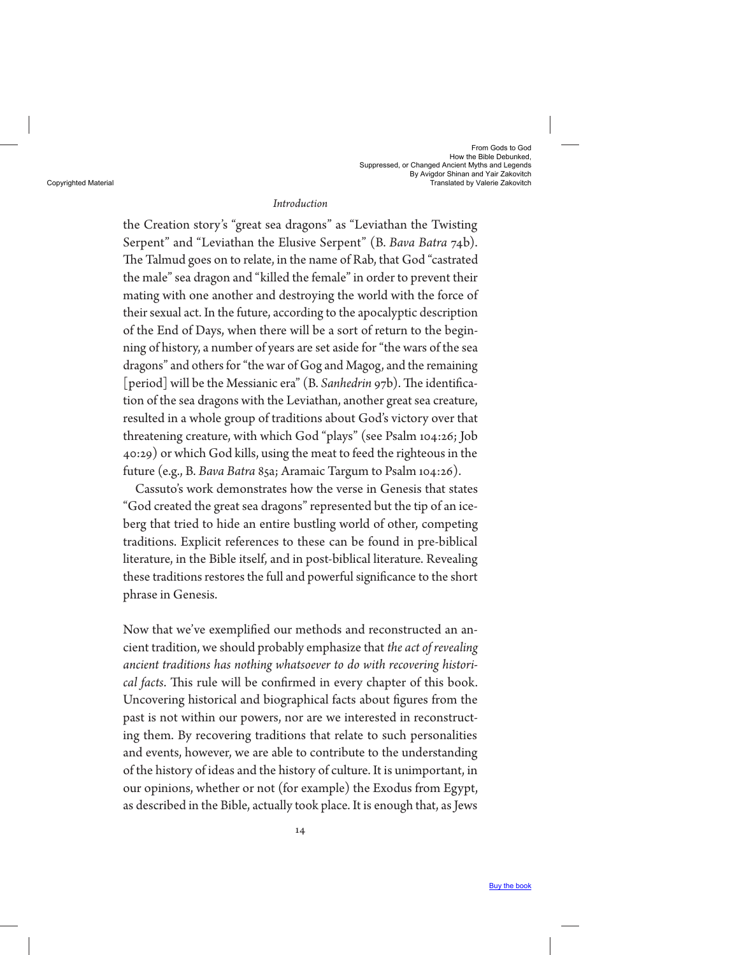the Creation story's "great sea dragons" as "Leviathan the Twisting Serpent" and "Leviathan the Elusive Serpent" (B. *Bava Batra* 74b). The Talmud goes on to relate, in the name of Rab, that God "castrated" the male" sea dragon and "killed the female" in order to prevent their mating with one another and destroying the world with the force of their sexual act. In the future, according to the apocalyptic description of the End of Days, when there will be a sort of return to the beginning of history, a number of years are set aside for "the wars of the sea dragons" and others for "the war of Gog and Magog, and the remaining [period] will be the Messianic era" (B. *Sanhedrin* 97b). The identification of the sea dragons with the Leviathan, another great sea creature, resulted in a whole group of traditions about God's victory over that threatening creature, with which God "plays" (see Psalm 104:26; Job 40:29) or which God kills, using the meat to feed the righteous in the future (e.g., B. *Bava Batra* 85a; Aramaic Targum to Psalm 104:26).

 Cassuto's work demonstrates how the verse in Genesis that states "God created the great sea dragons" represented but the tip of an iceberg that tried to hide an entire bustling world of other, competing traditions. Explicit references to these can be found in pre-biblical literature, in the Bible itself, and in post-biblical literature. Revealing these traditions restores the full and powerful significance to the short phrase in Genesis.

Now that we've exemplified our methods and reconstructed an ancient tradition, we should probably emphasize that *the act of revealing ancient traditions has nothing whatsoever to do with recovering historical facts*. This rule will be confirmed in every chapter of this book. Uncovering historical and biographical facts about figures from the past is not within our powers, nor are we interested in reconstructing them. By recovering traditions that relate to such personalities and events, however, we are able to contribute to the understanding of the history of ideas and the history of culture. It is unimportant, in our opinions, whether or not (for example) the Exodus from Egypt, as described in the Bible, actually took place. It is enough that, as Jews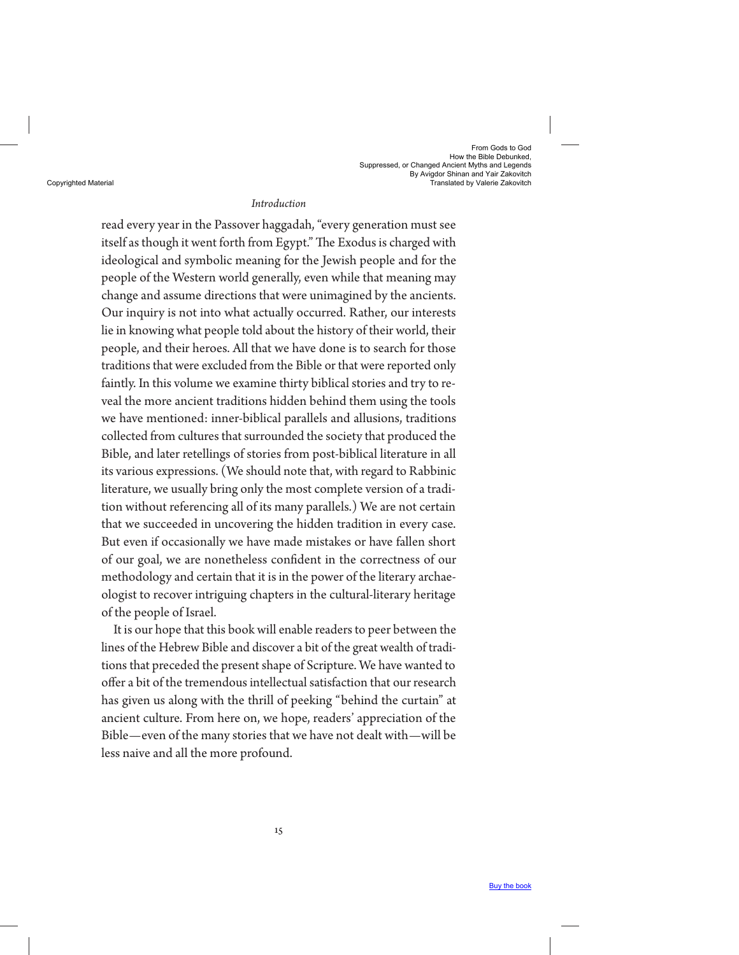read every year in the Passover haggadah, "every generation must see itself as though it went forth from Egypt." The Exodus is charged with ideological and symbolic meaning for the Jewish people and for the people of the Western world generally, even while that meaning may change and assume directions that were unimagined by the ancients. Our inquiry is not into what actually occurred. Rather, our interests lie in knowing what people told about the history of their world, their people, and their heroes. All that we have done is to search for those traditions that were excluded from the Bible or that were reported only faintly. In this volume we examine thirty biblical stories and try to reveal the more ancient traditions hidden behind them using the tools we have mentioned: inner-biblical parallels and allusions, traditions collected from cultures that surrounded the society that produced the Bible, and later retellings of stories from post-biblical literature in all its various expressions. (We should note that, with regard to Rabbinic literature, we usually bring only the most complete version of a tradition without referencing all of its many parallels.) We are not certain that we succeeded in uncovering the hidden tradition in every case. But even if occasionally we have made mistakes or have fallen short of our goal, we are nonetheless confident in the correctness of our methodology and certain that it is in the power of the literary archaeologist to recover intriguing chapters in the cultural-literary heritage of the people of Israel.

 It is our hope that this book will enable readers to peer between the lines of the Hebrew Bible and discover a bit of the great wealth of traditions that preceded the present shape of Scripture. We have wanted to offer a bit of the tremendous intellectual satisfaction that our research has given us along with the thrill of peeking "behind the curtain" at ancient culture. From here on, we hope, readers' appreciation of the Bible — even of the many stories that we have not dealt with — will be less naive and all the more profound.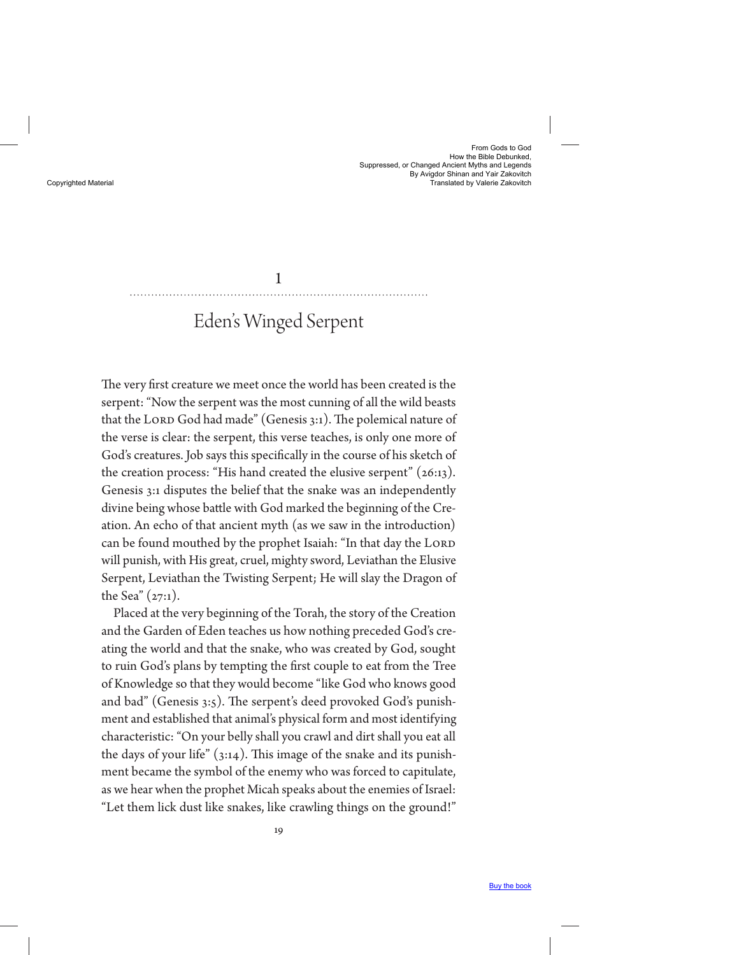1

# Eden's Winged Serpent

The very first creature we meet once the world has been created is the serpent: "Now the serpent was the most cunning of all the wild beasts that the LORD God had made" (Genesis  $3:1$ ). The polemical nature of the verse is clear: the serpent, this verse teaches, is only one more of God's creatures. Job says this specifically in the course of his sketch of the creation process: "His hand created the elusive serpent"  $(26:13)$ . Genesis 3:1 disputes the belief that the snake was an independently divine being whose battle with God marked the beginning of the Creation. An echo of that ancient myth (as we saw in the introduction) can be found mouthed by the prophet Isaiah: "In that day the LORD will punish, with His great, cruel, mighty sword, Leviathan the Elusive Serpent, Leviathan the Twisting Serpent; He will slay the Dragon of the Sea" (27:1).

 Placed at the very beginning of the Torah, the story of the Creation and the Garden of Eden teaches us how nothing preceded God's creating the world and that the snake, who was created by God, sought to ruin God's plans by tempting the first couple to eat from the Tree of Knowledge so that they would become "like God who knows good and bad" (Genesis 3:5). The serpent's deed provoked God's punishment and established that animal's physical form and most identifying characteristic: "On your belly shall you crawl and dirt shall you eat all the days of your life"  $(3:14)$ . This image of the snake and its punishment became the symbol of the enemy who was forced to capitulate, as we hear when the prophet Micah speaks about the enemies of Israel: "Let them lick dust like snakes, like crawling things on the ground!"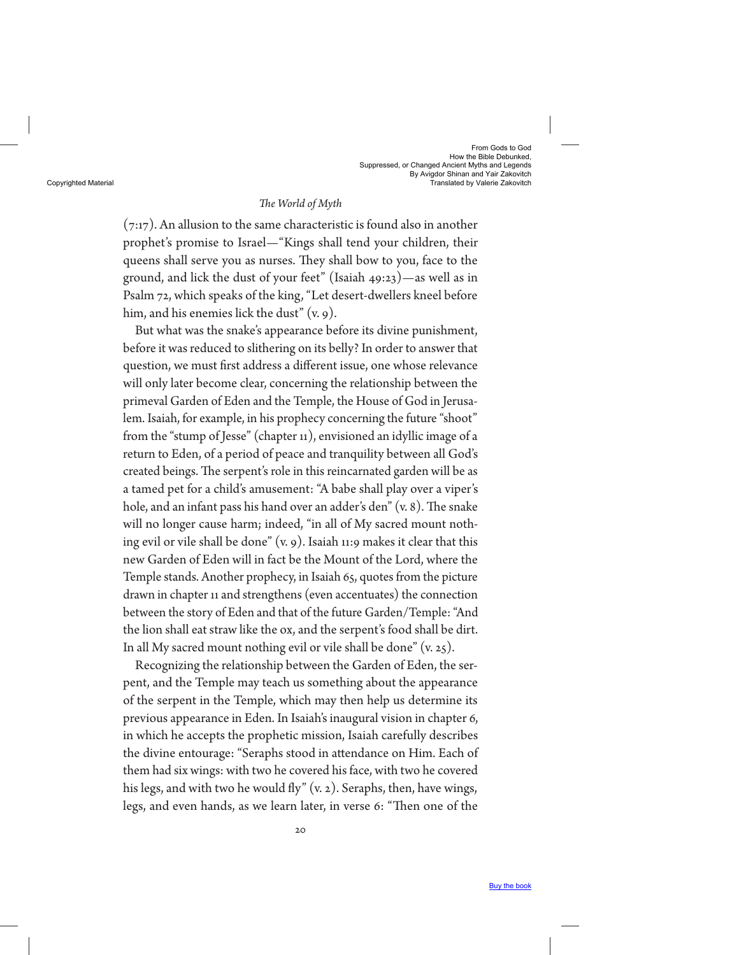# The World of Myth

 $(7:17)$ . An allusion to the same characteristic is found also in another prophet's promise to Israel—"Kings shall tend your children, their queens shall serve you as nurses. They shall bow to you, face to the ground, and lick the dust of your feet" (Isaiah 49:23) — as well as in Psalm 72, which speaks of the king, "Let desert-dwellers kneel before him, and his enemies lick the dust" (v. 9).

But what was the snake's appearance before its divine punishment, before it was reduced to slithering on its belly? In order to answer that question, we must first address a different issue, one whose relevance will only later become clear, concerning the relationship between the primeval Garden of Eden and the Temple, the House of God in Jerusalem. Isaiah, for example, in his prophecy concerning the future "shoot" from the "stump of Jesse" (chapter 11), envisioned an idyllic image of a return to Eden, of a period of peace and tranquility between all God's created beings. The serpent's role in this reincarnated garden will be as a tamed pet for a child's amusement: "A babe shall play over a viper's hole, and an infant pass his hand over an adder's den" (v. 8). The snake will no longer cause harm; indeed, "in all of My sacred mount nothing evil or vile shall be done"  $(v, g)$ . Isaiah 11:9 makes it clear that this new Garden of Eden will in fact be the Mount of the Lord, where the Temple stands. Another prophecy, in Isaiah 65, quotes from the picture drawn in chapter 11 and strengthens (even accentuates) the connection between the story of Eden and that of the future Garden/Temple: "And the lion shall eat straw like the ox, and the serpent's food shall be dirt. In all My sacred mount nothing evil or vile shall be done"  $(v, 25)$ .

 Recognizing the relationship between the Garden of Eden, the serpent, and the Temple may teach us something about the appearance of the serpent in the Temple, which may then help us determine its previous appearance in Eden. In Isaiah's inaugural vision in chapter 6, in which he accepts the prophetic mission, Isaiah carefully describes the divine entourage: "Seraphs stood in attendance on Him. Each of them had six wings: with two he covered his face, with two he covered his legs, and with two he would fly"  $(v, 2)$ . Seraphs, then, have wings, legs, and even hands, as we learn later, in verse 6: "Then one of the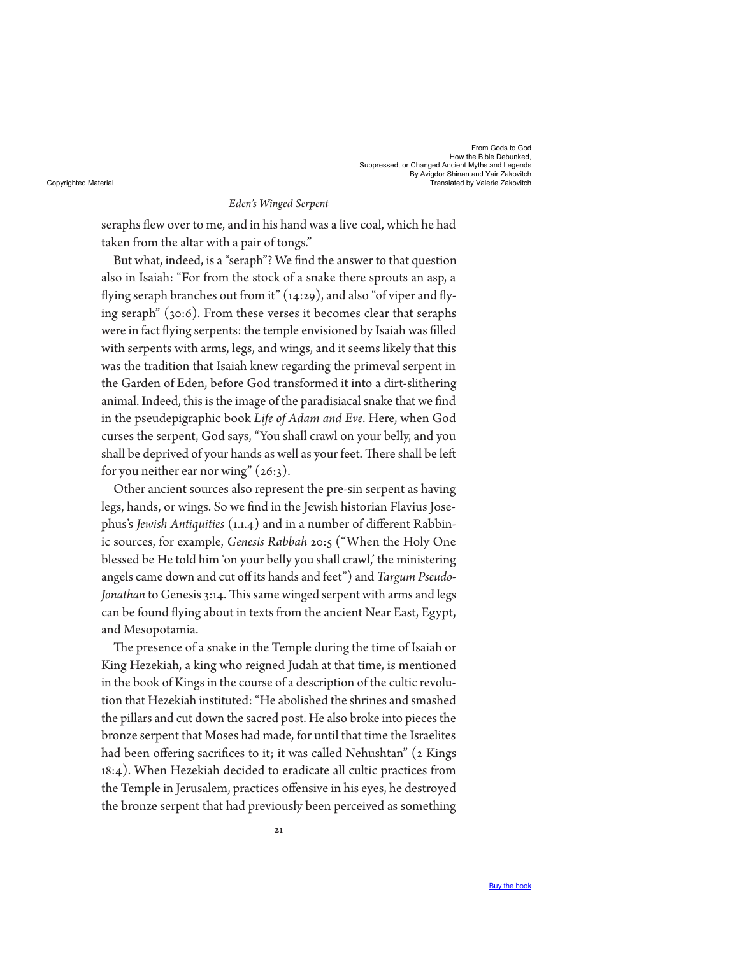# *Eden's Winged Serpent*

seraphs flew over to me, and in his hand was a live coal, which he had taken from the altar with a pair of tongs."

But what, indeed, is a "seraph"? We find the answer to that question also in Isaiah: "For from the stock of a snake there sprouts an asp, a flying seraph branches out from it"  $(14:29)$ , and also "of viper and flying seraph" (30:6). From these verses it becomes clear that seraphs were in fact flying serpents: the temple envisioned by Isaiah was filled with serpents with arms, legs, and wings, and it seems likely that this was the tradition that Isaiah knew regarding the primeval serpent in the Garden of Eden, before God transformed it into a dirt-slithering animal. Indeed, this is the image of the paradisiacal snake that we find in the pseudepigraphic book *Life of Adam and Eve*. Here, when God curses the serpent, God says, "You shall crawl on your belly, and you shall be deprived of your hands as well as your feet. There shall be left for you neither ear nor wing"  $(26:3)$ .

 Other ancient sources also represent the pre-sin serpent as having legs, hands, or wings. So we find in the Jewish historian Flavius Josephus's *Jewish Antiquities* (1.1.4) and in a number of different Rabbinic sources, for example, *Genesis Rabbah* 20:5 ("When the Holy One blessed be He told him 'on your belly you shall crawl,' the ministering angels came down and cut off its hands and feet") and *Targum Pseudo-Jonathan* to Genesis 3:14. This same winged serpent with arms and legs can be found flying about in texts from the ancient Near East, Egypt, and Mesopotamia.

The presence of a snake in the Temple during the time of Isaiah or King Hezekiah, a king who reigned Judah at that time, is mentioned in the book of Kings in the course of a description of the cultic revolution that Hezekiah instituted: "He abolished the shrines and smashed the pillars and cut down the sacred post. He also broke into pieces the bronze serpent that Moses had made, for until that time the Israelites had been offering sacrifices to it; it was called Nehushtan" (2 Kings 18:4). When Hezekiah decided to eradicate all cultic practices from the Temple in Jerusalem, practices offensive in his eyes, he destroyed the bronze serpent that had previously been perceived as something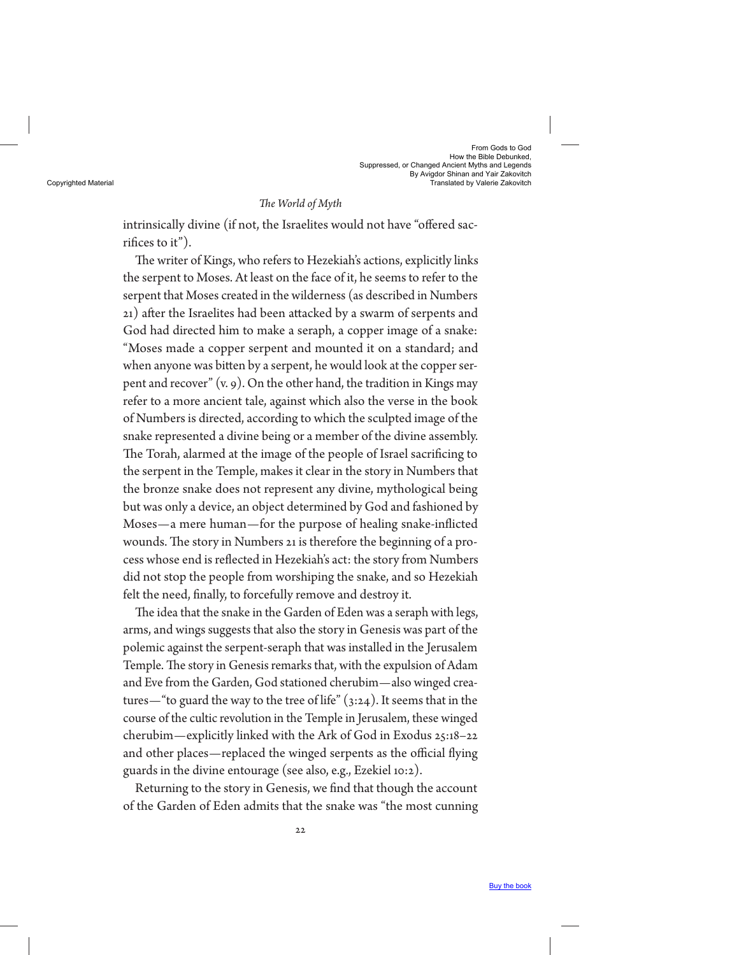## The World of Myth

intrinsically divine (if not, the Israelites would not have "offered sacrifices to it").

The writer of Kings, who refers to Hezekiah's actions, explicitly links the serpent to Moses. At least on the face of it, he seems to refer to the serpent that Moses created in the wilderness (as described in Numbers 21) after the Israelites had been attacked by a swarm of serpents and God had directed him to make a seraph, a copper image of a snake: "Moses made a copper serpent and mounted it on a standard; and when anyone was bitten by a serpent, he would look at the copper serpent and recover" (v. 9). On the other hand, the tradition in Kings may refer to a more ancient tale, against which also the verse in the book of Numbers is directed, according to which the sculpted image of the snake represented a divine being or a member of the divine assembly. The Torah, alarmed at the image of the people of Israel sacrificing to the serpent in the Temple, makes it clear in the story in Numbers that the bronze snake does not represent any divine, mythological being but was only a device, an object determined by God and fashioned by Moses—a mere human—for the purpose of healing snake-inflicted wounds. The story in Numbers 21 is therefore the beginning of a process whose end is reflected in Hezekiah's act: the story from Numbers did not stop the people from worshiping the snake, and so Hezekiah felt the need, finally, to forcefully remove and destroy it.

The idea that the snake in the Garden of Eden was a seraph with legs, arms, and wings suggests that also the story in Genesis was part of the polemic against the serpent-seraph that was installed in the Jerusalem Temple. The story in Genesis remarks that, with the expulsion of Adam and Eve from the Garden, God stationed cherubim — also winged creatures—"to guard the way to the tree of life"  $(3:24)$ . It seems that in the course of the cultic revolution in the Temple in Jerusalem, these winged cherubim — explicitly linked with the Ark of God in Exodus 25:18–22 and other places—replaced the winged serpents as the official flying guards in the divine entourage (see also, e.g., Ezekiel 10:2).

Returning to the story in Genesis, we find that though the account of the Garden of Eden admits that the snake was "the most cunning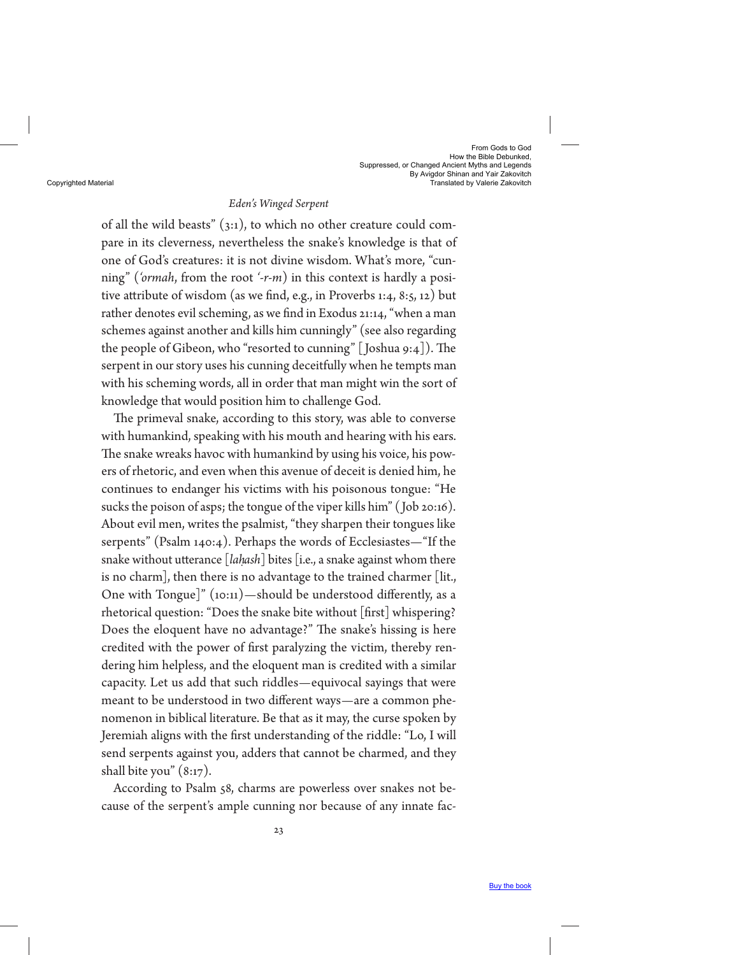# *Eden's Winged Serpent*

of all the wild beasts" (3:1), to which no other creature could compare in its cleverness, nevertheless the snake's knowledge is that of one of God's creatures: it is not divine wisdom. What's more, "cunning" (*'ormah*, from the root *'-r-m*) in this context is hardly a positive attribute of wisdom (as we find, e.g., in Proverbs 1:4, 8:5, 12) but rather denotes evil scheming, as we find in Exodus 21:14, "when a man schemes against another and kills him cunningly" (see also regarding the people of Gibeon, who "resorted to cunning" [Joshua 9:4]). The serpent in our story uses his cunning deceitfully when he tempts man with his scheming words, all in order that man might win the sort of knowledge that would position him to challenge God.

The primeval snake, according to this story, was able to converse with humankind, speaking with his mouth and hearing with his ears. The snake wreaks havoc with humankind by using his voice, his powers of rhetoric, and even when this avenue of deceit is denied him, he continues to endanger his victims with his poisonous tongue: "He sucks the poison of asps; the tongue of the viper kills him" ( Job 20:16). About evil men, writes the psalmist, "they sharpen their tongues like serpents" (Psalm 140:4). Perhaps the words of Ecclesiastes—"If the snake without utterance [*lahash*] bites [i.e., a snake against whom there is no charm], then there is no advantage to the trained charmer [lit., One with Tongue]"  $(i \circ n)$ —should be understood differently, as a rhetorical question: "Does the snake bite without [first] whispering? Does the eloquent have no advantage?" The snake's hissing is here credited with the power of first paralyzing the victim, thereby rendering him helpless, and the eloquent man is credited with a similar capacity. Let us add that such riddles — equivocal sayings that were meant to be understood in two different ways—are a common phenomenon in biblical literature. Be that as it may, the curse spoken by Jeremiah aligns with the first understanding of the riddle: "Lo, I will send serpents against you, adders that cannot be charmed, and they shall bite you" (8:17).

According to Psalm 58, charms are powerless over snakes not because of the serpent's ample cunning nor because of any innate fac-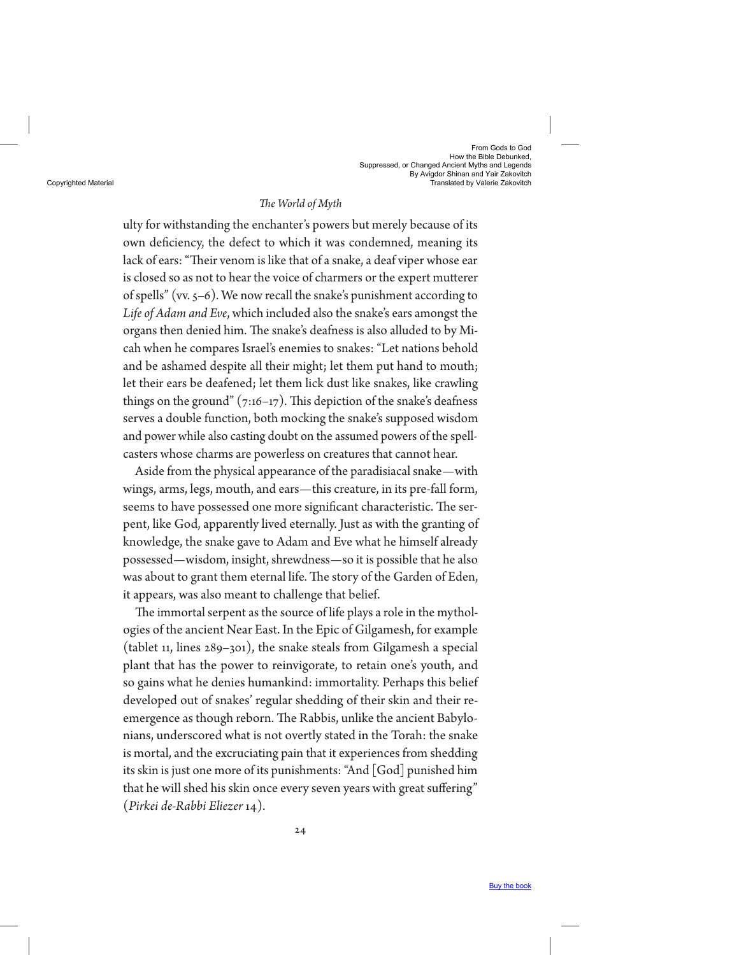### The World of Myth

ulty for withstanding the enchanter's powers but merely because of its own deficiency, the defect to which it was condemned, meaning its lack of ears: "Their venom is like that of a snake, a deaf viper whose ear is closed so as not to hear the voice of charmers or the expert mutterer of spells" (vv. 5–6). We now recall the snake's punishment according to *Life of Adam and Eve*, which included also the snake's ears amongst the organs then denied him. The snake's deafness is also alluded to by Micah when he compares Israel's enemies to snakes: "Let nations behold and be ashamed despite all their might; let them put hand to mouth; let their ears be deafened; let them lick dust like snakes, like crawling things on the ground"  $(7:16-17)$ . This depiction of the snake's deafness serves a double function, both mocking the snake's supposed wisdom and power while also casting doubt on the assumed powers of the spellcasters whose charms are powerless on creatures that cannot hear.

 Aside from the physical appearance of the paradisiacal snake — with wings, arms, legs, mouth, and ears — this creature, in its pre-fall form, seems to have possessed one more significant characteristic. The serpent, like God, apparently lived eternally. Just as with the granting of knowledge, the snake gave to Adam and Eve what he himself already possessed — wisdom, insight, shrewdness — so it is possible that he also was about to grant them eternal life. The story of the Garden of Eden, it appears, was also meant to challenge that belief.

The immortal serpent as the source of life plays a role in the mythologies of the ancient Near East. In the Epic of Gilgamesh, for example (tablet 11, lines 289–301), the snake steals from Gilgamesh a special plant that has the power to reinvigorate, to retain one's youth, and so gains what he denies humankind: immortality. Perhaps this belief developed out of snakes' regular shedding of their skin and their reemergence as though reborn. The Rabbis, unlike the ancient Babylonians, underscored what is not overtly stated in the Torah: the snake is mortal, and the excruciating pain that it experiences from shedding its skin is just one more of its punishments: "And [God] punished him that he will shed his skin once every seven years with great suffering" (*Pirkei de-Rabbi Eliezer* 14).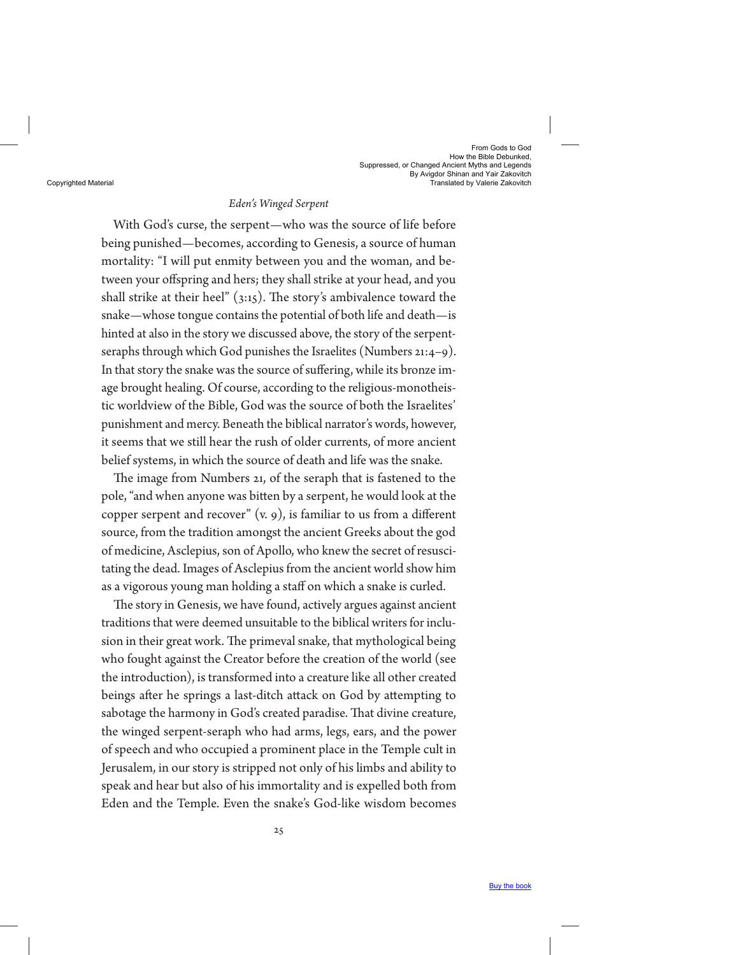# *Eden's Winged Serpent*

 With God's curse, the serpent — who was the source of life before being punished — becomes, according to Genesis, a source of human mortality: "I will put enmity between you and the woman, and between your offspring and hers; they shall strike at your head, and you shall strike at their heel"  $(3:15)$ . The story's ambivalence toward the snake — whose tongue contains the potential of both life and death — is hinted at also in the story we discussed above, the story of the serpentseraphs through which God punishes the Israelites (Numbers 21:4–9). In that story the snake was the source of suffering, while its bronze image brought healing. Of course, according to the religious-monotheistic worldview of the Bible, God was the source of both the Israelites' punishment and mercy. Beneath the biblical narrator's words, however, it seems that we still hear the rush of older currents, of more ancient belief systems, in which the source of death and life was the snake.

The image from Numbers 21, of the seraph that is fastened to the pole, "and when anyone was bitten by a serpent, he would look at the copper serpent and recover"  $(v, 9)$ , is familiar to us from a different source, from the tradition amongst the ancient Greeks about the god of medicine, Asclepius, son of Apollo, who knew the secret of resuscitating the dead. Images of Asclepius from the ancient world show him as a vigorous young man holding a staff on which a snake is curled.

The story in Genesis, we have found, actively argues against ancient traditions that were deemed unsuitable to the biblical writers for inclusion in their great work. The primeval snake, that mythological being who fought against the Creator before the creation of the world (see the introduction), is transformed into a creature like all other created beings after he springs a last-ditch attack on God by attempting to sabotage the harmony in God's created paradise. That divine creature, the winged serpent-seraph who had arms, legs, ears, and the power of speech and who occupied a prominent place in the Temple cult in Jerusalem, in our story is stripped not only of his limbs and ability to speak and hear but also of his immortality and is expelled both from Eden and the Temple. Even the snake's God-like wisdom becomes